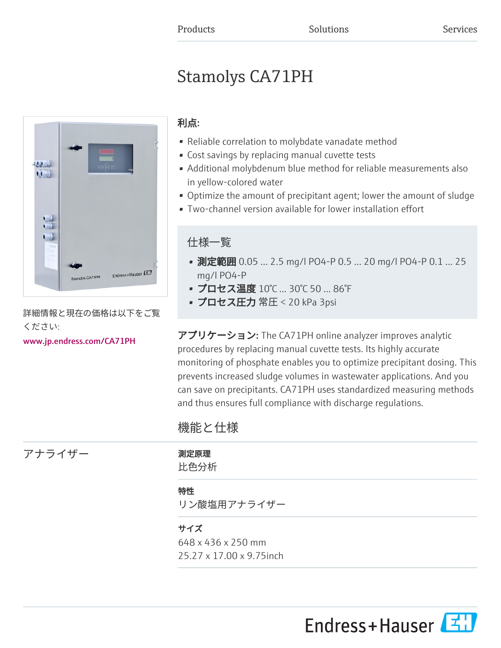# Stamolys CA71PH



詳細情報と現在の価格は以下をご覧 ください:

[www.jp.endress.com/CA71PH](https://www.jp.endress.com/CA71PH)

# 利点:

- Reliable correlation to molybdate vanadate method
- Cost savings by replacing manual cuvette tests
- Additional molybdenum blue method for reliable measurements also in yellow-colored water
- Optimize the amount of precipitant agent; lower the amount of sludge
- Two-channel version available for lower installation effort

# 仕様一覧

- 測定範囲 0.05 ... 2.5 mg/l PO4-P 0.5 ... 20 mg/l PO4-P 0.1 ... 25 mg/l PO4-P
- プロセス温度 10℃ ... 30℃ 50 ... 86°F
- プロセス圧力 常圧 < 20 kPa 3psi

アプリケーション: The CA71PH online analyzer improves analytic procedures by replacing manual cuvette tests. Its highly accurate monitoring of phosphate enables you to optimize precipitant dosing. This prevents increased sludge volumes in wastewater applications. And you can save on precipitants. CA71PH uses standardized measuring methods and thus ensures full compliance with discharge regulations.

# 機能と仕様

比色分析 特性 リン酸塩用アナライザー サイズ 648 x 436 x 250 mm

25.27 x 17.00 x 9.75inch



アナライザー アナライザー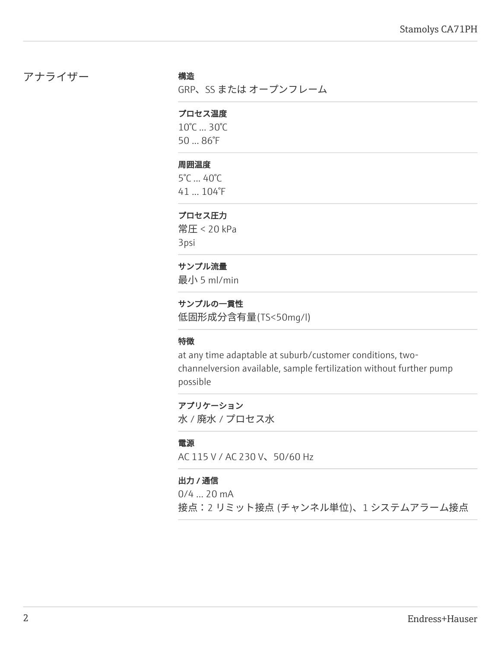# アナライザー 構造

GRP、SS または オープンフレーム

#### プロセス温度

10°C ... 30°C 50 ... 86°F

#### 周囲温度

5°C ... 40°C 41 ... 104°F

#### プロセス圧力

常圧 < 20 kPa 3psi

#### サンプル流量

最小 5 ml/min

### サンプルの一貫性

低固形成分含有量(TS<50mg/l)

#### 特徴

at any time adaptable at suburb/customer conditions, twochannelversion available, sample fertilization without further pump possible

アプリケーション 水 / 廃水 / プロセス水

#### 電源

AC 115 V / AC 230 V、50/60 Hz

#### 出力 / 通信

0/4 ... 20 mA 接点:2 リミット接点 (チャンネル単位)、1 システムアラーム接点